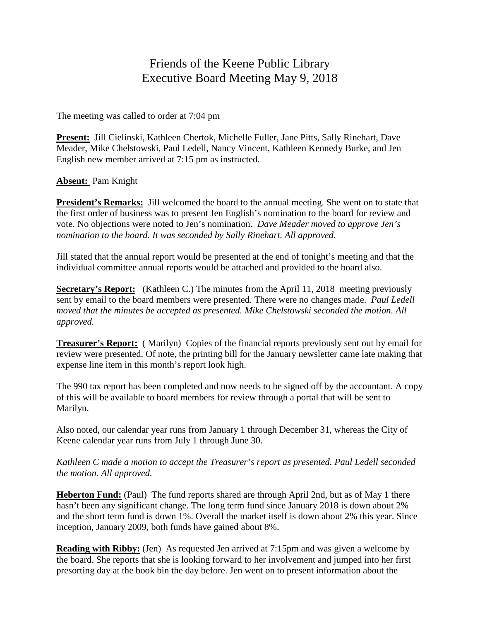## Friends of the Keene Public Library Executive Board Meeting May 9, 2018

The meeting was called to order at 7:04 pm

**Present:** Jill Cielinski, Kathleen Chertok, Michelle Fuller, Jane Pitts, Sally Rinehart, Dave Meader, Mike Chelstowski, Paul Ledell, Nancy Vincent, Kathleen Kennedy Burke, and Jen English new member arrived at 7:15 pm as instructed.

## **Absent:** Pam Knight

**President's Remarks:** Jill welcomed the board to the annual meeting. She went on to state that the first order of business was to present Jen English's nomination to the board for review and vote. No objections were noted to Jen's nomination. *Dave Meader moved to approve Jen's nomination to the board. It was seconded by Sally Rinehart. All approved.*

Jill stated that the annual report would be presented at the end of tonight's meeting and that the individual committee annual reports would be attached and provided to the board also.

**Secretary's Report:** (Kathleen C.) The minutes from the April 11, 2018 meeting previously sent by email to the board members were presented. There were no changes made. *Paul Ledell moved that the minutes be accepted as presented. Mike Chelstowski seconded the motion. All approved.*

**Treasurer's Report:** ( Marilyn) Copies of the financial reports previously sent out by email for review were presented. Of note, the printing bill for the January newsletter came late making that expense line item in this month's report look high.

The 990 tax report has been completed and now needs to be signed off by the accountant. A copy of this will be available to board members for review through a portal that will be sent to Marilyn.

Also noted, our calendar year runs from January 1 through December 31, whereas the City of Keene calendar year runs from July 1 through June 30.

*Kathleen C made a motion to accept the Treasurer's report as presented. Paul Ledell seconded the motion. All approved.*

**Heberton Fund:** (Paul) The fund reports shared are through April 2nd, but as of May 1 there hasn't been any significant change. The long term fund since January 2018 is down about 2% and the short term fund is down 1%. Overall the market itself is down about 2% this year. Since inception, January 2009, both funds have gained about 8%.

**Reading with Ribby:** (Jen) As requested Jen arrived at 7:15pm and was given a welcome by the board. She reports that she is looking forward to her involvement and jumped into her first presorting day at the book bin the day before. Jen went on to present information about the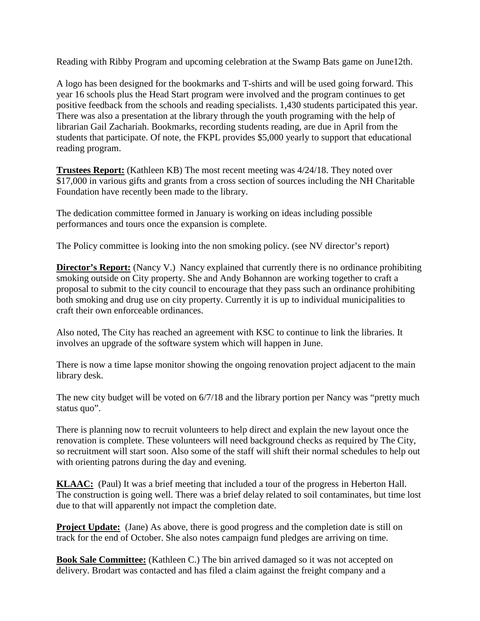Reading with Ribby Program and upcoming celebration at the Swamp Bats game on June12th.

A logo has been designed for the bookmarks and T-shirts and will be used going forward. This year 16 schools plus the Head Start program were involved and the program continues to get positive feedback from the schools and reading specialists. 1,430 students participated this year. There was also a presentation at the library through the youth programing with the help of librarian Gail Zachariah. Bookmarks, recording students reading, are due in April from the students that participate. Of note, the FKPL provides \$5,000 yearly to support that educational reading program.

**Trustees Report:** (Kathleen KB) The most recent meeting was 4/24/18. They noted over \$17,000 in various gifts and grants from a cross section of sources including the NH Charitable Foundation have recently been made to the library.

The dedication committee formed in January is working on ideas including possible performances and tours once the expansion is complete.

The Policy committee is looking into the non smoking policy. (see NV director's report)

**Director's Report:** (Nancy V.) Nancy explained that currently there is no ordinance prohibiting smoking outside on City property. She and Andy Bohannon are working together to craft a proposal to submit to the city council to encourage that they pass such an ordinance prohibiting both smoking and drug use on city property. Currently it is up to individual municipalities to craft their own enforceable ordinances.

Also noted, The City has reached an agreement with KSC to continue to link the libraries. It involves an upgrade of the software system which will happen in June.

There is now a time lapse monitor showing the ongoing renovation project adjacent to the main library desk.

The new city budget will be voted on  $6/7/18$  and the library portion per Nancy was "pretty much" status quo".

There is planning now to recruit volunteers to help direct and explain the new layout once the renovation is complete. These volunteers will need background checks as required by The City, so recruitment will start soon. Also some of the staff will shift their normal schedules to help out with orienting patrons during the day and evening.

**KLAAC:** (Paul) It was a brief meeting that included a tour of the progress in Heberton Hall. The construction is going well. There was a brief delay related to soil contaminates, but time lost due to that will apparently not impact the completion date.

**Project Update:** (Jane) As above, there is good progress and the completion date is still on track for the end of October. She also notes campaign fund pledges are arriving on time.

**Book Sale Committee:** (Kathleen C.) The bin arrived damaged so it was not accepted on delivery. Brodart was contacted and has filed a claim against the freight company and a